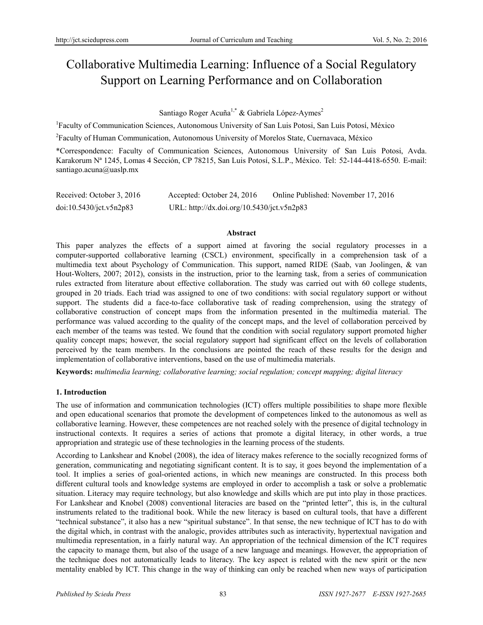# Collaborative Multimedia Learning: Influence of a Social Regulatory Support on Learning Performance and on Collaboration

Santiago Roger Acuña<sup>1,\*</sup> & Gabriela López-Aymes<sup>2</sup>

<sup>1</sup>Faculty of Communication Sciences, Autonomous University of San Luis Potosi, San Luis Potosí, México

2 Faculty of Human Communication, Autonomous University of Morelos State, Cuernavaca, México

\*Correspondence: Faculty of Communication Sciences, Autonomous University of San Luis Potosi, Avda. Karakorum Nª 1245, Lomas 4 Sección, CP 78215, San Luis Potosí, S.L.P., México. Tel: 52-144-4418-6550. E-mail: santiago.acuna@uaslp.mx

| Received: October 3, 2016 | Accepted: October 24, 2016                 | Online Published: November 17, 2016 |
|---------------------------|--------------------------------------------|-------------------------------------|
| doi:10.5430/jct.v5n2p83   | URL: http://dx.doi.org/10.5430/jct.v5n2p83 |                                     |

#### **Abstract**

This paper analyzes the effects of a support aimed at favoring the social regulatory processes in a computer-supported collaborative learning (CSCL) environment, specifically in a comprehension task of a multimedia text about Psychology of Communication. This support, named RIDE (Saab, van Joolingen, & van Hout-Wolters, 2007; 2012), consists in the instruction, prior to the learning task, from a series of communication rules extracted from literature about effective collaboration. The study was carried out with 60 college students, grouped in 20 triads. Each triad was assigned to one of two conditions: with social regulatory support or without support. The students did a face-to-face collaborative task of reading comprehension, using the strategy of collaborative construction of concept maps from the information presented in the multimedia material. The performance was valued according to the quality of the concept maps, and the level of collaboration perceived by each member of the teams was tested. We found that the condition with social regulatory support promoted higher quality concept maps; however, the social regulatory support had significant effect on the levels of collaboration perceived by the team members. In the conclusions are pointed the reach of these results for the design and implementation of collaborative interventions, based on the use of multimedia materials.

**Keywords:** *multimedia learning; collaborative learning; social regulation; concept mapping; digital literacy*

## **1. Introduction**

The use of information and communication technologies (ICT) offers multiple possibilities to shape more flexible and open educational scenarios that promote the development of competences linked to the autonomous as well as collaborative learning. However, these competences are not reached solely with the presence of digital technology in instructional contexts. It requires a series of actions that promote a digital literacy, in other words, a true appropriation and strategic use of these technologies in the learning process of the students.

According to Lankshear and Knobel (2008), the idea of literacy makes reference to the socially recognized forms of generation, communicating and negotiating significant content. It is to say, it goes beyond the implementation of a tool. It implies a series of goal-oriented actions, in which new meanings are constructed. In this process both different cultural tools and knowledge systems are employed in order to accomplish a task or solve a problematic situation. Literacy may require technology, but also knowledge and skills which are put into play in those practices. For Lankshear and Knobel (2008) conventional literacies are based on the "printed letter", this is, in the cultural instruments related to the traditional book. While the new literacy is based on cultural tools, that have a different "technical substance", it also has a new "spiritual substance". In that sense, the new technique of ICT has to do with the digital which, in contrast with the analogic, provides attributes such as interactivity, hypertextual navigation and multimedia representation, in a fairly natural way. An appropriation of the technical dimension of the ICT requires the capacity to manage them, but also of the usage of a new language and meanings. However, the appropriation of the technique does not automatically leads to literacy. The key aspect is related with the new spirit or the new mentality enabled by ICT. This change in the way of thinking can only be reached when new ways of participation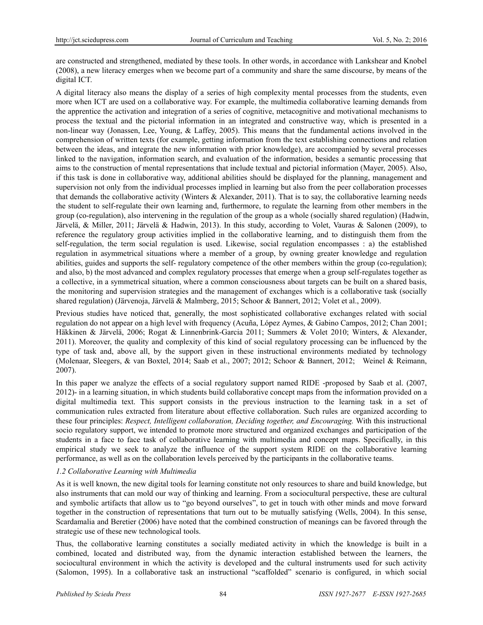are constructed and strengthened, mediated by these tools. In other words, in accordance with Lankshear and Knobel (2008), a new literacy emerges when we become part of a community and share the same discourse, by means of the digital ICT.

A digital literacy also means the display of a series of high complexity mental processes from the students, even more when ICT are used on a collaborative way. For example, the multimedia collaborative learning demands from the apprentice the activation and integration of a series of cognitive, metacognitive and motivational mechanisms to process the textual and the pictorial information in an integrated and constructive way, which is presented in a non-linear way (Jonassen, Lee, Young, & Laffey, 2005). This means that the fundamental actions involved in the comprehension of written texts (for example, getting information from the text establishing connections and relation between the ideas, and integrate the new information with prior knowledge), are accompanied by several processes linked to the navigation, information search, and evaluation of the information, besides a semantic processing that aims to the construction of mental representations that include textual and pictorial information (Mayer, 2005). Also, if this task is done in collaborative way, additional abilities should be displayed for the planning, management and supervision not only from the individual processes implied in learning but also from the peer collaboration processes that demands the collaborative activity (Winters & Alexander, 2011). That is to say, the collaborative learning needs the student to self-regulate their own learning and, furthermore, to regulate the learning from other members in the group (co-regulation), also intervening in the regulation of the group as a whole (socially shared regulation) (Hadwin, Järvelä, & Miller, 2011; Järvelä & Hadwin, 2013). In this study, according to Volet, Vauras & Salonen (2009), to reference the regulatory group activities implied in the collaborative learning, and to distinguish them from the self-regulation, the term social regulation is used. Likewise, social regulation encompasses : a) the established regulation in asymmetrical situations where a member of a group, by owning greater knowledge and regulation abilities, guides and supports the self- regulatory competence of the other members within the group (co-regulation); and also, b) the most advanced and complex regulatory processes that emerge when a group self-regulates together as a collective, in a symmetrical situation, where a common consciousness about targets can be built on a shared basis, the monitoring and supervision strategies and the management of exchanges which is a collaborative task (socially shared regulation) (Järvenoja, Järvelä & Malmberg, 2015; Schoor & Bannert, 2012; Volet et al., 2009).

Previous studies have noticed that, generally, the most sophisticated collaborative exchanges related with social regulation do not appear on a high level with frequency (Acuña, López Aymes, & Gabino Campos, 2012; Chan 2001; Häkkinen & Järvelä, 2006; Rogat & Linnenbrink-Garcia 2011; Summers & Volet 2010; Winters, & Alexander, 2011). Moreover, the quality and complexity of this kind of social regulatory processing can be influenced by the type of task and, above all, by the support given in these instructional environments mediated by technology (Molenaar, Sleegers, & van Boxtel, 2014; Saab et al., 2007; 2012; Schoor & Bannert, 2012; Weinel & Reimann, 2007).

In this paper we analyze the effects of a social regulatory support named RIDE -proposed by Saab et al. (2007, 2012)- in a learning situation, in which students build collaborative concept maps from the information provided on a digital multimedia text. This support consists in the previous instruction to the learning task in a set of communication rules extracted from literature about effective collaboration. Such rules are organized according to these four principles: *Respect, Intelligent collaboration, Deciding together, and Encouraging.* With this instructional socio regulatory support, we intended to promote more structured and organized exchanges and participation of the students in a face to face task of collaborative learning with multimedia and concept maps. Specifically, in this empirical study we seek to analyze the influence of the support system RIDE on the collaborative learning performance, as well as on the collaboration levels perceived by the participants in the collaborative teams.

## *1.2 Collaborative Learning with Multimedia*

As it is well known, the new digital tools for learning constitute not only resources to share and build knowledge, but also instruments that can mold our way of thinking and learning. From a sociocultural perspective, these are cultural and symbolic artifacts that allow us to "go beyond ourselves", to get in touch with other minds and move forward together in the construction of representations that turn out to be mutually satisfying (Wells, 2004). In this sense, Scardamalia and Beretier (2006) have noted that the combined construction of meanings can be favored through the strategic use of these new technological tools.

Thus, the collaborative learning constitutes a socially mediated activity in which the knowledge is built in a combined, located and distributed way, from the dynamic interaction established between the learners, the sociocultural environment in which the activity is developed and the cultural instruments used for such activity (Salomon, 1995). In a collaborative task an instructional "scaffolded" scenario is configured, in which social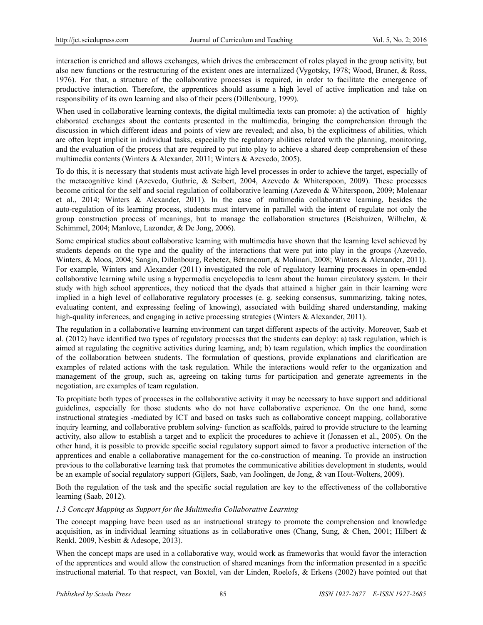interaction is enriched and allows exchanges, which drives the embracement of roles played in the group activity, but also new functions or the restructuring of the existent ones are internalized (Vygotsky, 1978; Wood, Bruner, & Ross, 1976). For that, a structure of the collaborative processes is required, in order to facilitate the emergence of productive interaction. Therefore, the apprentices should assume a high level of active implication and take on responsibility of its own learning and also of their peers (Dillenbourg, 1999).

When used in collaborative learning contexts, the digital multimedia texts can promote: a) the activation of highly elaborated exchanges about the contents presented in the multimedia, bringing the comprehension through the discussion in which different ideas and points of view are revealed; and also, b) the explicitness of abilities, which are often kept implicit in individual tasks, especially the regulatory abilities related with the planning, monitoring, and the evaluation of the process that are required to put into play to achieve a shared deep comprehension of these multimedia contents (Winters & Alexander, 2011; Winters & Azevedo, 2005).

To do this, it is necessary that students must activate high level processes in order to achieve the target, especially of the metacognitive kind (Azevedo, Guthrie, & Seibert, 2004, Azevedo & Whiterspoon, 2009). These processes become critical for the self and social regulation of collaborative learning (Azevedo & Whiterspoon, 2009; Molenaar et al., 2014; Winters & Alexander, 2011). In the case of multimedia collaborative learning, besides the auto-regulation of its learning process, students must intervene in parallel with the intent of regulate not only the group construction process of meanings, but to manage the collaboration structures (Beishuizen, Wilhelm, & Schimmel, 2004; Manlove, Lazonder, & De Jong, 2006).

Some empirical studies about collaborative learning with multimedia have shown that the learning level achieved by students depends on the type and the quality of the interactions that were put into play in the groups (Azevedo, Winters, & Moos, 2004; Sangin, Dillenbourg, Rebetez, Bétrancourt, & Molinari, 2008; Winters & Alexander, 2011). For example, Winters and Alexander (2011) investigated the role of regulatory learning processes in open-ended collaborative learning while using a hypermedia encyclopedia to learn about the human circulatory system. In their study with high school apprentices, they noticed that the dyads that attained a higher gain in their learning were implied in a high level of collaborative regulatory processes (e. g. seeking consensus, summarizing, taking notes, evaluating content, and expressing feeling of knowing), associated with building shared understanding, making high-quality inferences, and engaging in active processing strategies (Winters & Alexander, 2011).

The regulation in a collaborative learning environment can target different aspects of the activity. Moreover, Saab et al. (2012) have identified two types of regulatory processes that the students can deploy: a) task regulation, which is aimed at regulating the cognitive activities during learning, and; b) team regulation, which implies the coordination of the collaboration between students. The formulation of questions, provide explanations and clarification are examples of related actions with the task regulation. While the interactions would refer to the organization and management of the group, such as, agreeing on taking turns for participation and generate agreements in the negotiation, are examples of team regulation.

To propitiate both types of processes in the collaborative activity it may be necessary to have support and additional guidelines, especially for those students who do not have collaborative experience. On the one hand, some instructional strategies -mediated by ICT and based on tasks such as collaborative concept mapping, collaborative inquiry learning, and collaborative problem solving- function as scaffolds, paired to provide structure to the learning activity, also allow to establish a target and to explicit the procedures to achieve it (Jonassen et al., 2005). On the other hand, it is possible to provide specific social regulatory support aimed to favor a productive interaction of the apprentices and enable a collaborative management for the co-construction of meaning. To provide an instruction previous to the collaborative learning task that promotes the communicative abilities development in students, would be an example of social regulatory support (Gijlers, Saab, van Joolingen, de Jong, & van Hout-Wolters, 2009).

Both the regulation of the task and the specific social regulation are key to the effectiveness of the collaborative learning (Saab, 2012).

## *1.3 Concept Mapping as Support for the Multimedia Collaborative Learning*

The concept mapping have been used as an instructional strategy to promote the comprehension and knowledge acquisition, as in individual learning situations as in collaborative ones (Chang, Sung, & Chen, 2001; Hilbert  $\&$ Renkl, 2009, Nesbitt & Adesope, 2013).

When the concept maps are used in a collaborative way, would work as frameworks that would favor the interaction of the apprentices and would allow the construction of shared meanings from the information presented in a specific instructional material. To that respect, van Boxtel, van der Linden, Roelofs, & Erkens (2002) have pointed out that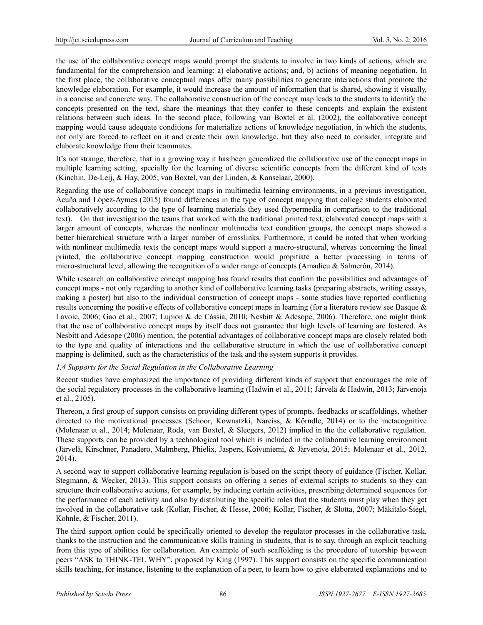the use of the collaborative concept maps would prompt the students to involve in two kinds of actions, which are fundamental for the comprehension and learning: a) elaborative actions; and, b) actions of meaning negotiation. In the first place, the collaborative conceptual maps offer many possibilities to generate interactions that promote the knowledge elaboration. For example, it would increase the amount of information that is shared, showing it visually, in a concise and concrete way. The collaborative construction of the concept map leads to the students to identify the concepts presented on the text, share the meanings that they confer to these concepts and explain the existent relations between such ideas. In the second place, following van Boxtel et al. (2002), the collaborative concept mapping would cause adequate conditions for materialize actions of knowledge negotiation, in which the students, not only are forced to reflect on it and create their own knowledge, but they also need to consider, integrate and elaborate knowledge from their teammates.

It's not strange, therefore, that in a growing way it has been generalized the collaborative use of the concept maps in multiple learning setting, specially for the learning of diverse scientific concepts from the different kind of texts (Kinchin, De-Leij, & Hay, 2005; van Boxtel, van der Linden, & Kanselaar, 2000).

Regarding the use of collaborative concept maps in multimedia learning environments, in a previous investigation, Acuña and López-Aymes (2015) found differences in the type of concept mapping that college students elaborated collaboratively according to the type of learning materials they used (hypermedia in comparison to the traditional text). On that investigation the teams that worked with the traditional printed text, elaborated concept maps with a larger amount of concepts, whereas the nonlinear multimedia text condition groups, the concept maps showed a better hierarchical structure with a larger number of crosslinks. Furthermore, it could be noted that when working with nonlinear multimedia texts the concept maps would support a macro-structural, whereas concerning the lineal printed, the collaborative concept mapping construction would propitiate a better processing in terms of micro-structural level, allowing the recognition of a wider range of concepts (Amadieu & Salmerón, 2014).

While research on collaborative concept mapping has found results that confirm the possibilities and advantages of concept maps - not only regarding to another kind of collaborative learning tasks (preparing abstracts, writing essays, making a poster) but also to the individual construction of concept maps - some studies have reported conflicting results concerning the positive effects of collaborative concept maps in learning (for a literature review see Basque & Lavoie, 2006; Gao et al., 2007; Lupion & de Cássia, 2010; Nesbitt & Adesope, 2006). Therefore, one might think that the use of collaborative concept maps by itself does not guarantee that high levels of learning are fostered. As Nesbitt and Adesope (2006) mention, the potential advantages of collaborative concept maps are closely related both to the type and quality of interactions and the collaborative structure in which the use of collaborative concept mapping is delimited, such as the characteristics of the task and the system supports it provides.

## *1.4 Supports for the Social Regulation in the Collaborative Learning*

Recent studies have emphasized the importance of providing different kinds of support that encourages the role of the social regulatory processes in the collaborative learning (Hadwin et al., 2011; Järvelä & Hadwin, 2013; Järvenoja et al., 2105).

Thereon, a first group of support consists on providing different types of prompts, feedbacks or scaffoldings, whether directed to the motivational processes (Schoor, Kownatzki, Narciss, & Körndle, 2014) or to the metacognitive (Molenaar et al., 2014; Molenaar, Roda, van Boxtel, & Sleegers, 2012) implied in the the collaborative regulation. These supports can be provided by a technological tool which is included in the collaborative learning environment (Järvelä, Kirschner, Panadero, Malmberg, Phielix, Jaspers, Koivuniemi, & Järvenoja, 2015; Molenaar et al., 2012, 2014).

A second way to support collaborative learning regulation is based on the script theory of guidance (Fischer, Kollar, Stegmann, & Wecker, 2013). This support consists on offering a series of external scripts to students so they can structure their collaborative actions, for example, by inducing certain activities, prescribing determined sequences for the performance of each activity and also by distributing the specific roles that the students must play when they get involved in the collaborative task (Kollar, Fischer, & Hesse, 2006; Kollar, Fischer, & Slotta, 2007; Mäkitalo-Siegl, Kohnle, & Fischer, 2011).

The third support option could be specifically oriented to develop the regulator processes in the collaborative task, thanks to the instruction and the communicative skills training in students, that is to say, through an explicit teaching from this type of abilities for collaboration. An example of such scaffolding is the procedure of tutorship between peers "ASK to THINK-TEL WHY", proposed by King (1997). This support consists on the specific communication skills teaching, for instance, listening to the explanation of a peer, to learn how to give elaborated explanations and to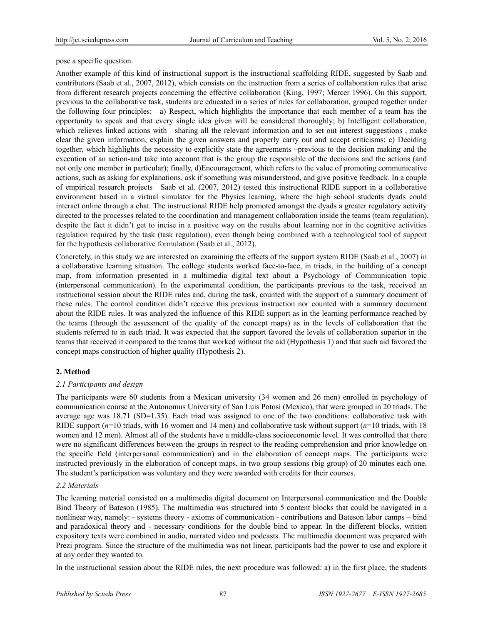pose a specific question.

Another example of this kind of instructional support is the instructional scaffolding RIDE, suggested by Saab and contributors (Saab et al., 2007, 2012), which consists on the instruction from a series of collaboration rules that arise from different research projects concerning the effective collaboration (King, 1997; Mercer 1996). On this support, previous to the collaborative task, students are educated in a series of rules for collaboration, grouped together under the following four principles: a) Respect, which highlights the importance that each member of a team has the opportunity to speak and that every single idea given will be considered thoroughly; b) Intelligent collaboration, which relieves linked actions with sharing all the relevant information and to set out interest suggestions , make clear the given information, explain the given answers and properly carry out and accept criticisms; c) Deciding together, which highlights the necessity to explicitly state the agreements –previous to the decision making and the execution of an action-and take into account that is the group the responsible of the decisions and the actions (and not only one member in particular); finally, d)Encouragement, which refers to the value of promoting communicative actions, such as asking for explanations, ask if something was misunderstood, and give positive feedback. In a couple of empirical research projects Saab et al. (2007, 2012) tested this instructional RIDE support in a collaborative environment based in a virtual simulator for the Physics learning, where the high school students dyads could interact online through a chat. The instructional RIDE help promoted amongst the dyads a greater regulatory activity directed to the processes related to the coordination and management collaboration inside the teams (team regulation), despite the fact it didn't get to incise in a positive way on the results about learning nor in the cognitive activities regulation required by the task (task regulation), even though being combined with a technological tool of support for the hypothesis collaborative formulation (Saab et al., 2012).

Concretely, in this study we are interested on examining the effects of the support system RIDE (Saab et al., 2007) in a collaborative learning situation. The college students worked face-to-face, in triads, in the building of a concept map, from information presented in a multimedia digital text about a Psychology of Communication topic (interpersonal communication). In the experimental condition, the participants previous to the task, received an instructional session about the RIDE rules and, during the task, counted with the support of a summary document of these rules. The control condition didn't receive this previous instruction nor counted with a summary document about the RIDE rules. It was analyzed the influence of this RIDE support as in the learning performance reached by the teams (through the assessment of the quality of the concept maps) as in the levels of collaboration that the students referred to in each triad. It was expected that the support favored the levels of collaboration superior in the teams that received it compared to the teams that worked without the aid (Hypothesis 1) and that such aid favored the concept maps construction of higher quality (Hypothesis 2).

## **2. Method**

## *2.1 Participants and design*

The participants were 60 students from a Mexican university (34 women and 26 men) enrolled in psychology of communication course at the Autonomus University of San Luis Potosí (Mexico), that were grouped in 20 triads. The average age was 18.71 (SD=1.35). Each triad was assigned to one of the two conditions: collaborative task with RIDE support  $(n=10 \text{ trials}, \text{with } 16 \text{ women and } 14 \text{ men})$  and collaborative task without support  $(n=10 \text{ trials}, \text{with } 18 \text{ months})$ women and 12 men). Almost all of the students have a middle-class socioeconomic level. It was controlled that there were no significant differences between the groups in respect to the reading comprehension and prior knowledge on the specific field (interpersonal communication) and in the elaboration of concept maps. The participants were instructed previously in the elaboration of concept maps, in two group sessions (big group) of 20 minutes each one. The student's participation was voluntary and they were awarded with credits for their courses.

## *2.2 Materials*

The learning material consisted on a multimedia digital document on Interpersonal communication and the Double Bind Theory of Bateson (1985). The multimedia was structured into 5 content blocks that could be navigated in a nonlinear way, namely: - systems theory - axioms of communication - contributions and Bateson labor camps – bind and paradoxical theory and - necessary conditions for the double bind to appear. In the different blocks, written expository texts were combined in audio, narrated video and podcasts. The multimedia document was prepared with Prezi program. Since the structure of the multimedia was not linear, participants had the power to use and explore it at any order they wanted to.

In the instructional session about the RIDE rules, the next procedure was followed: a) in the first place, the students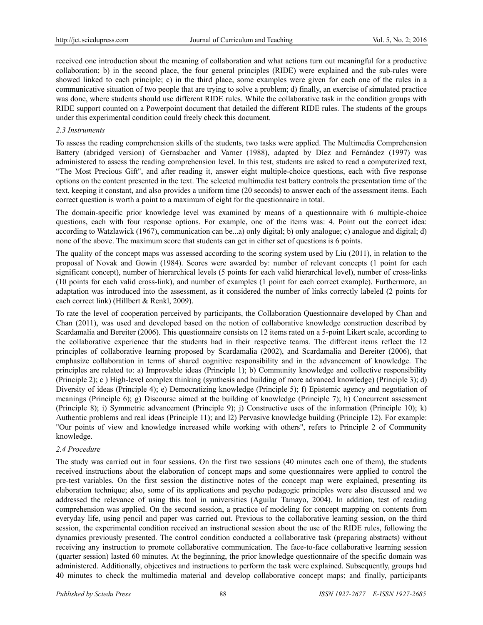received one introduction about the meaning of collaboration and what actions turn out meaningful for a productive collaboration; b) in the second place, the four general principles (RIDE) were explained and the sub-rules were showed linked to each principle; c) in the third place, some examples were given for each one of the rules in a communicative situation of two people that are trying to solve a problem; d) finally, an exercise of simulated practice was done, where students should use different RIDE rules. While the collaborative task in the condition groups with RIDE support counted on a Powerpoint document that detailed the different RIDE rules. The students of the groups under this experimental condition could freely check this document.

### *2.3 Instruments*

To assess the reading comprehension skills of the students, two tasks were applied. The Multimedia Comprehension Battery (abridged version) of Gernsbacher and Varner (1988), adapted by Díez and Fernández (1997) was administered to assess the reading comprehension level. In this test, students are asked to read a computerized text, "The Most Precious Gift", and after reading it, answer eight multiple-choice questions, each with five response options on the content presented in the text. The selected multimedia test battery controls the presentation time of the text, keeping it constant, and also provides a uniform time (20 seconds) to answer each of the assessment items. Each correct question is worth a point to a maximum of eight for the questionnaire in total.

The domain-specific prior knowledge level was examined by means of a questionnaire with 6 multiple-choice questions, each with four response options. For example, one of the items was: 4. Point out the correct idea: according to Watzlawick (1967), communication can be...a) only digital; b) only analogue; c) analogue and digital; d) none of the above. The maximum score that students can get in either set of questions is 6 points.

The quality of the concept maps was assessed according to the scoring system used by Liu (2011), in relation to the proposal of Novak and Gowin (1984). Scores were awarded by: number of relevant concepts (1 point for each significant concept), number of hierarchical levels (5 points for each valid hierarchical level), number of cross-links (10 points for each valid cross-link), and number of examples (1 point for each correct example). Furthermore, an adaptation was introduced into the assessment, as it considered the number of links correctly labeled (2 points for each correct link) (Hillbert & Renkl, 2009).

To rate the level of cooperation perceived by participants, the Collaboration Questionnaire developed by Chan and Chan (2011), was used and developed based on the notion of collaborative knowledge construction described by Scardamalia and Bereiter (2006). This questionnaire consists on 12 items rated on a 5-point Likert scale, according to the collaborative experience that the students had in their respective teams. The different items reflect the 12 principles of collaborative learning proposed by Scardamalia (2002), and Scardamalia and Bereiter (2006), that emphasize collaboration in terms of shared cognitive responsibility and in the advancement of knowledge. The principles are related to: a) Improvable ideas (Principle 1); b) Community knowledge and collective responsibility (Principle 2); c ) High-level complex thinking (synthesis and building of more advanced knowledge) (Principle 3); d) Diversity of ideas (Principle 4); e) Democratizing knowledge (Principle 5); f) Epistemic agency and negotiation of meanings (Principle 6); g) Discourse aimed at the building of knowledge (Principle 7); h) Concurrent assessment (Principle 8); i) Symmetric advancement (Principle 9); j) Constructive uses of the information (Principle 10); k) Authentic problems and real ideas (Principle 11); and l2) Pervasive knowledge building (Principle 12). For example: "Our points of view and knowledge increased while working with others", refers to Principle 2 of Community knowledge.

## *2.4 Procedure*

The study was carried out in four sessions. On the first two sessions (40 minutes each one of them), the students received instructions about the elaboration of concept maps and some questionnaires were applied to control the pre-test variables. On the first session the distinctive notes of the concept map were explained, presenting its elaboration technique; also, some of its applications and psycho pedagogic principles were also discussed and we addressed the relevance of using this tool in universities (Aguilar Tamayo, 2004). In addition, test of reading comprehension was applied. On the second session, a practice of modeling for concept mapping on contents from everyday life, using pencil and paper was carried out. Previous to the collaborative learning session, on the third session, the experimental condition received an instructional session about the use of the RIDE rules, following the dynamics previously presented. The control condition conducted a collaborative task (preparing abstracts) without receiving any instruction to promote collaborative communication. The face-to-face collaborative learning session (quarter session) lasted 60 minutes. At the beginning, the prior knowledge questionnaire of the specific domain was administered. Additionally, objectives and instructions to perform the task were explained. Subsequently, groups had 40 minutes to check the multimedia material and develop collaborative concept maps; and finally, participants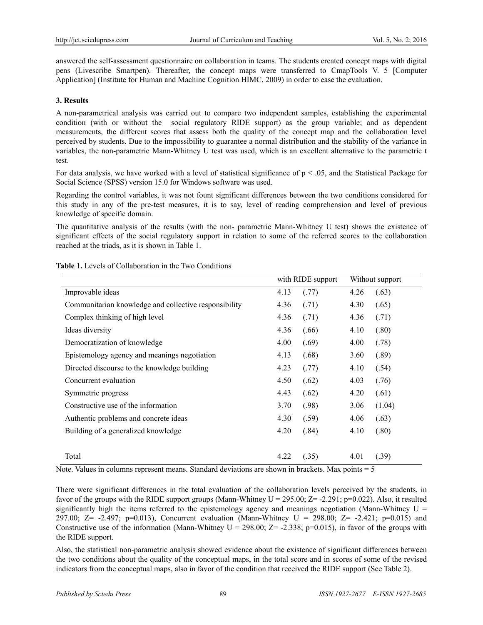answered the self-assessment questionnaire on collaboration in teams. The students created concept maps with digital pens (Livescribe Smartpen). Thereafter, the concept maps were transferred to CmapTools V. 5 [Computer Application] (Institute for Human and Machine Cognition HIMC, 2009) in order to ease the evaluation.

## **3. Results**

A non-parametrical analysis was carried out to compare two independent samples, establishing the experimental condition (with or without the social regulatory RIDE support) as the group variable; and as dependent measurements, the different scores that assess both the quality of the concept map and the collaboration level perceived by students. Due to the impossibility to guarantee a normal distribution and the stability of the variance in variables, the non-parametric Mann-Whitney U test was used, which is an excellent alternative to the parametric t test.

For data analysis, we have worked with a level of statistical significance of  $p < .05$ , and the Statistical Package for Social Science (SPSS) version 15.0 for Windows software was used.

Regarding the control variables, it was not fount significant differences between the two conditions considered for this study in any of the pre-test measures, it is to say, level of reading comprehension and level of previous knowledge of specific domain.

The quantitative analysis of the results (with the non- parametric Mann-Whitney U test) shows the existence of significant effects of the social regulatory support in relation to some of the referred scores to the collaboration reached at the triads, as it is shown in Table 1.

|                                                       | with RIDE support |       | Without support |        |
|-------------------------------------------------------|-------------------|-------|-----------------|--------|
| Improvable ideas                                      | 4.13              | (.77) | 4.26            | (.63)  |
| Communitarian knowledge and collective responsibility | 4.36              | (.71) | 4.30            | (.65)  |
| Complex thinking of high level                        | 4.36              | (.71) | 4.36            | (.71)  |
| Ideas diversity                                       | 4.36              | (.66) | 4.10            | (.80)  |
| Democratization of knowledge                          | 4.00              | (.69) | 4.00            | (.78)  |
| Epistemology agency and meanings negotiation          | 4.13              | (.68) | 3.60            | (.89)  |
| Directed discourse to the knowledge building          | 4.23              | (.77) | 4.10            | (.54)  |
| Concurrent evaluation                                 | 4.50              | (.62) | 4.03            | (.76)  |
| Symmetric progress                                    | 4.43              | (.62) | 4.20            | (.61)  |
| Constructive use of the information                   | 3.70              | (.98) | 3.06            | (1.04) |
| Authentic problems and concrete ideas                 | 4.30              | (.59) | 4.06            | (.63)  |
| Building of a generalized knowledge                   | 4.20              | (.84) | 4.10            | (.80)  |
|                                                       |                   |       |                 |        |
| Total                                                 | 4.22              | (.35) | 4.01            | (.39)  |

**Table 1.** Levels of Collaboration in the Two Conditions

Note. Values in columns represent means. Standard deviations are shown in brackets. Max points = 5

There were significant differences in the total evaluation of the collaboration levels perceived by the students, in favor of the groups with the RIDE support groups (Mann-Whitney  $U = 295.00$ ;  $Z = -2.291$ ; p=0.022). Also, it resulted significantly high the items referred to the epistemology agency and meanings negotiation (Mann-Whitney  $U =$ 297.00; Z= -2.497; p=0.013), Concurrent evaluation (Mann-Whitney U = 298.00; Z= -2.421; p=0.015) and Constructive use of the information (Mann-Whitney U = 298.00;  $Z = -2.338$ ; p=0.015), in favor of the groups with the RIDE support.

Also, the statistical non-parametric analysis showed evidence about the existence of significant differences between the two conditions about the quality of the conceptual maps, in the total score and in scores of some of the revised indicators from the conceptual maps, also in favor of the condition that received the RIDE support (See Table 2).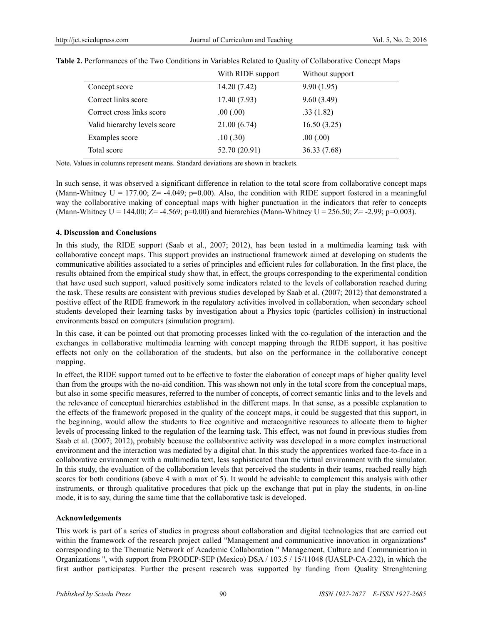|                              | With RIDE support | Without support |
|------------------------------|-------------------|-----------------|
| Concept score                | 14.20 (7.42)      | 9.90(1.95)      |
| Correct links score          | 17.40 (7.93)      | 9.60(3.49)      |
| Correct cross links score    | .00(.00)          | .33(1.82)       |
| Valid hierarchy levels score | 21.00(6.74)       | 16.50(3.25)     |
| Examples score               | .10(.30)          | .00(.00)        |
| Total score                  | 52.70 (20.91)     | 36.33 (7.68)    |

| Table 2. Performances of the Two Conditions in Variables Related to Quality of Collaborative Concept Maps |  |  |  |
|-----------------------------------------------------------------------------------------------------------|--|--|--|
|                                                                                                           |  |  |  |

Note. Values in columns represent means. Standard deviations are shown in brackets.

In such sense, it was observed a significant difference in relation to the total score from collaborative concept maps (Mann-Whitney  $U = 177.00$ ;  $Z = -4.049$ ;  $p=0.00$ ). Also, the condition with RIDE support fostered in a meaningful way the collaborative making of conceptual maps with higher punctuation in the indicators that refer to concepts (Mann-Whitney U = 144.00; Z = -4.569; p=0.00) and hierarchies (Mann-Whitney U = 256.50; Z = -2.99; p=0.003).

## **4. Discussion and Conclusions**

In this study, the RIDE support (Saab et al., 2007; 2012), has been tested in a multimedia learning task with collaborative concept maps. This support provides an instructional framework aimed at developing on students the communicative abilities associated to a series of principles and efficient rules for collaboration. In the first place, the results obtained from the empirical study show that, in effect, the groups corresponding to the experimental condition that have used such support, valued positively some indicators related to the levels of collaboration reached during the task. These results are consistent with previous studies developed by Saab et al. (2007; 2012) that demonstrated a positive effect of the RIDE framework in the regulatory activities involved in collaboration, when secondary school students developed their learning tasks by investigation about a Physics topic (particles collision) in instructional environments based on computers (simulation program).

In this case, it can be pointed out that promoting processes linked with the co-regulation of the interaction and the exchanges in collaborative multimedia learning with concept mapping through the RIDE support, it has positive effects not only on the collaboration of the students, but also on the performance in the collaborative concept mapping.

In effect, the RIDE support turned out to be effective to foster the elaboration of concept maps of higher quality level than from the groups with the no-aid condition. This was shown not only in the total score from the conceptual maps, but also in some specific measures, referred to the number of concepts, of correct semantic links and to the levels and the relevance of conceptual hierarchies established in the different maps. In that sense, as a possible explanation to the effects of the framework proposed in the quality of the concept maps, it could be suggested that this support, in the beginning, would allow the students to free cognitive and metacognitive resources to allocate them to higher levels of processing linked to the regulation of the learning task. This effect, was not found in previous studies from Saab et al. (2007; 2012), probably because the collaborative activity was developed in a more complex instructional environment and the interaction was mediated by a digital chat. In this study the apprentices worked face-to-face in a collaborative environment with a multimedia text, less sophisticated than the virtual environment with the simulator. In this study, the evaluation of the collaboration levels that perceived the students in their teams, reached really high scores for both conditions (above 4 with a max of 5). It would be advisable to complement this analysis with other instruments, or through qualitative procedures that pick up the exchange that put in play the students, in on-line mode, it is to say, during the same time that the collaborative task is developed.

## **Acknowledgements**

This work is part of a series of studies in progress about collaboration and digital technologies that are carried out within the framework of the research project called "Management and communicative innovation in organizations" corresponding to the Thematic Network of Academic Collaboration " Management, Culture and Communication in Organizations ", with support from PRODEP-SEP (Mexico) DSA / 103.5 / 15/11048 (UASLP-CA-232), in which the first author participates. Further the present research was supported by funding from Quality Strenghtening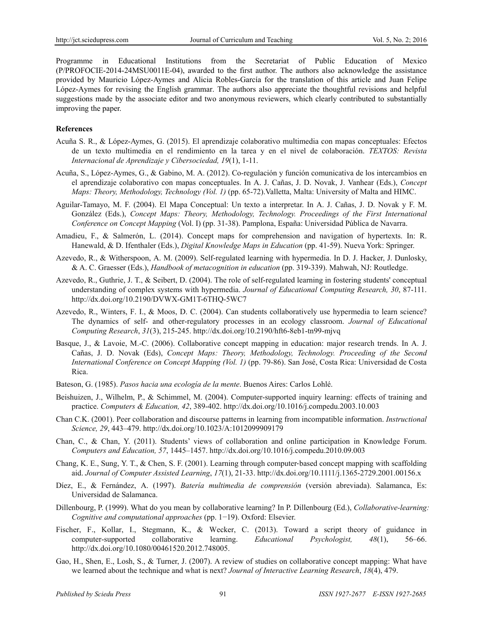Programme in Educational Institutions from the Secretariat of Public Education of Mexico (P/PROFOCIE-2014-24MSU0011E-04), awarded to the first author. The authors also acknowledge the assistance provided by Mauricio López-Aymes and Alicia Robles-García for the translation of this article and Juan Felipe López-Aymes for revising the English grammar. The authors also appreciate the thoughtful revisions and helpful suggestions made by the associate editor and two anonymous reviewers, which clearly contributed to substantially improving the paper.

## **References**

- Acuña S. R., & López-Aymes, G. (2015). El aprendizaje colaborativo multimedia con mapas conceptuales: Efectos de un texto multimedia en el rendimiento en la tarea y en el nivel de colaboración. *TEXTOS: Revista Internacional de Aprendizaje y Cibersociedad, 19*(1), 1-11.
- Acuña, S., López-Aymes, G., & Gabino, M. A. (2012). Co-regulación y función comunicativa de los intercambios en el aprendizaje colaborativo con mapas conceptuales. In A. J. Cañas, J. D. Novak, J. Vanhear (Eds.), *Concept Maps: Theory, Methodology, Technology (Vol. 1)* (pp. 65-72).Valletta, Malta: University of Malta and HIMC.
- Aguilar-Tamayo, M. F. (2004). El Mapa Conceptual: Un texto a interpretar. In A. J. Cañas, J. D. Novak y F. M. González (Eds.), *Concept Maps: Theory, Methodology, Technology. Proceedings of the First International Conference on Concept Mapping* (Vol. I) (pp. 31-38). Pamplona, España: Universidad Pública de Navarra.
- Amadieu, F., & Salmerón, L. (2014). Concept maps for comprehension and navigation of hypertexts. In: R. Hanewald, & D. Ifenthaler (Eds.), *Digital Knowledge Maps in Education* (pp. 41-59). Nueva York: Springer.
- Azevedo, R., & Witherspoon, A. M. (2009). Self-regulated learning with hypermedia. In D. J. Hacker, J. Dunlosky, & A. C. Graesser (Eds.), *Handbook of metacognition in education* (pp. 319-339). Mahwah, NJ: Routledge.
- Azevedo, R., Guthrie, J. T., & Seibert, D. (2004). The role of self-regulated learning in fostering students' conceptual understanding of complex systems with hypermedia. *Journal of Educational Computing Research, 30*, 87-111. http://dx.doi.org/10.2190/DVWX-GM1T-6THQ-5WC7
- Azevedo, R., Winters, F. I., & Moos, D. C. (2004). Can students collaboratively use hypermedia to learn science? The dynamics of self- and other-regulatory processes in an ecology classroom. *Journal of Educational Computing Research*, *31*(3), 215-245. http://dx.doi.org/10.2190/hft6-8eb1-tn99-mjvq
- Basque, J., & Lavoie, M.-C. (2006). Collaborative concept mapping in education: major research trends. In A. J. Cañas, J. D. Novak (Eds), *Concept Maps: Theory, Methodology, Technology. Proceeding of the Second International Conference on Concept Mapping (Vol. 1)* (pp. 79-86). San José, Costa Rica: Universidad de Costa Rica.
- Bateson, G. (1985). *Pasos hacia una ecología de la mente*. Buenos Aires: Carlos Lohlé.
- Beishuizen, J., Wilhelm, P., & Schimmel, M. (2004). Computer-supported inquiry learning: effects of training and practice. *Computers & Education, 42*, 389-402. http://dx.doi.org/10.1016/j.compedu.2003.10.003
- Chan C.K. (2001). Peer collaboration and discourse patterns in learning from incompatible information. *Instructional Science, 29*, 443–479. http://dx.doi.org/10.1023/A:1012099909179
- Chan, C., & Chan, Y. (2011). Students' views of collaboration and online participation in Knowledge Forum. *Computers and Education, 57*, 1445–1457. http://dx.doi.org/10.1016/j.compedu.2010.09.003
- Chang, K. E., Sung, Y. T., & Chen, S. F. (2001). Learning through computer‐based concept mapping with scaffolding aid. *Journal of Computer Assisted Learning*, *17*(1), 21-33. http://dx.doi.org/10.1111/j.1365-2729.2001.00156.x
- Díez, E., & Fernández, A. (1997). *Batería multimedia de comprensión* (versión abreviada). Salamanca, Es: Universidad de Salamanca.
- Dillenbourg, P. (1999). What do you mean by collaborative learning? In P. Dillenbourg (Ed.), *Collaborative-learning: Cognitive and computational approaches* (pp. 1−19). Oxford: Elsevier.
- Fischer, F., Kollar, I., Stegmann, K., & Wecker, C. (2013). Toward a script theory of guidance in computer-supported collaborative learning. *Educational Psychologist, 48*(1), 56–66. http://dx.doi.org/10.1080/00461520.2012.748005.
- Gao, H., Shen, E., Losh, S., & Turner, J. (2007). A review of studies on collaborative concept mapping: What have we learned about the technique and what is next? *Journal of Interactive Learning Research*, *18*(4), 479.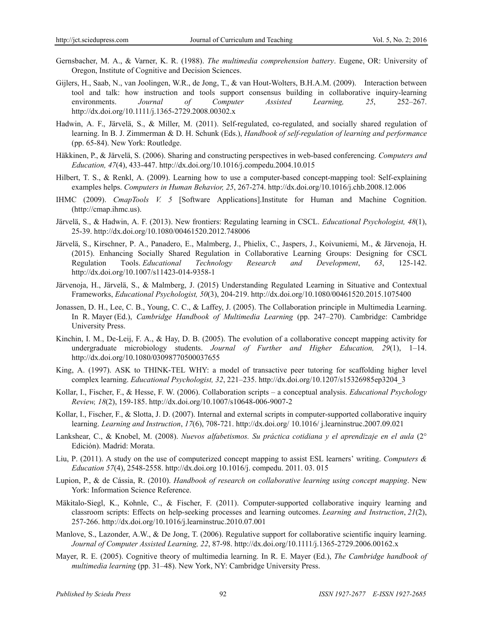- Gernsbacher, M. A., & Varner, K. R. (1988). *The multimedia comprehension battery*. Eugene, OR: University of Oregon, Institute of Cognitive and Decision Sciences.
- Gijlers, H., Saab, N., van Joolingen, W.R., de Jong, T., & van Hout-Wolters, B.H.A.M. (2009). Interaction between tool and talk: how instruction and tools support consensus building in collaborative inquiry-learning environments. *Journal of Computer Assisted Learning, 25*, 252–267. http://dx.doi.org/10.1111/j.1365-2729.2008.00302.x
- Hadwin, A. F., Järvelä, S., & Miller, M. (2011). Self-regulated, co-regulated, and socially shared regulation of learning. In B. J. Zimmerman & D. H. Schunk (Eds.), *Handbook of self-regulation of learning and performance*  (pp. 65-84). New York: Routledge.
- Häkkinen, P., & Järvelä, S. (2006). Sharing and constructing perspectives in web-based conferencing. *Computers and Education, 47*(4), 433-447. http://dx.doi.org/10.1016/j.compedu.2004.10.015
- Hilbert, T. S., & Renkl, A. (2009). Learning how to use a computer-based concept-mapping tool: Self-explaining examples helps. *Computers in Human Behavior, 25*, 267-274. http://dx.doi.org/10.1016/j.chb.2008.12.006
- IHMC (2009). *CmapTools V. 5* [Software Applications].Institute for Human and Machine Cognition. (http://cmap.ihmc.us).
- Järvelä, S., & Hadwin, A. F. (2013). New frontiers: Regulating learning in CSCL. *Educational Psychologist, 48*(1), 25-39. http://dx.doi.org/10.1080/00461520.2012.748006
- Järvelä, S., Kirschner, P. A., Panadero, E., Malmberg, J., Phielix, C., Jaspers, J., Koivuniemi, M., & Järvenoja, H. (2015). Enhancing Socially Shared Regulation in Collaborative Learning Groups: Designing for CSCL Regulation Tools. *Educational Technology Research and Development*, *63*, 125-142. http://dx.doi.org/10.1007/s11423-014-9358-1
- Järvenoja, H., Järvelä, S., & Malmberg, J. (2015) Understanding Regulated Learning in Situative and Contextual Frameworks, *Educational Psychologist, 50*(3), 204-219. http://dx.doi.org/10.1080/00461520.2015.1075400
- Jonassen, D. H., Lee, C. B., Young, C. C., & Laffey, J. (2005). The Collaboration principle in Multimedia Learning. In R. Mayer (Ed.), *Cambridge Handbook of Multimedia Learning* (pp. 247–270). Cambridge: Cambridge University Press.
- Kinchin, I. M., De-Leij, F. A., & Hay, D. B. (2005). The evolution of a collaborative concept mapping activity for undergraduate microbiology students. *Journal of Further and Higher Education, 29*(1), 1–14. http://dx.doi.org/10.1080/03098770500037655
- King, A. (1997). ASK to THINK-TEL WHY: a model of transactive peer tutoring for scaffolding higher level complex learning. *Educational Psychologist, 32*, 221–235. http://dx.doi.org/10.1207/s15326985ep3204\_3
- Kollar, I., Fischer, F., & Hesse, F. W. (2006). Collaboration scripts a conceptual analysis. *Educational Psychology Review, 18*(2), 159-185. http://dx.doi.org/10.1007/s10648-006-9007-2
- Kollar, I., Fischer, F., & Slotta, J. D. (2007). Internal and external scripts in computer-supported collaborative inquiry learning. *Learning and Instruction*, *17*(6), 708-721. http://dx.doi.org/ 10.1016/ j.learninstruc.2007.09.021
- Lankshear, C., & Knobel, M. (2008). *Nuevos alfabetismos. Su práctica cotidiana y el aprendizaje en el aula* (2° Edición). Madrid: Morata.
- Liu, P. (2011). A study on the use of computerized concept mapping to assist ESL learners' writing. *Computers & Education 57*(4), 2548-2558. http://dx.doi.org 10.1016/j. compedu. 2011. 03. 015
- Lupion, P., & de Cássia, R. (2010). *Handbook of research on collaborative learning using concept mapping*. New York: Information Science Reference.
- Mäkitalo-Siegl, K., Kohnle, C., & Fischer, F. (2011). Computer-supported collaborative inquiry learning and classroom scripts: Effects on help-seeking processes and learning outcomes. *Learning and Instruction*, *21*(2), 257-266. http://dx.doi.org/10.1016/j.learninstruc.2010.07.001
- Manlove, S., Lazonder, A.W., & De Jong, T. (2006). Regulative support for collaborative scientific inquiry learning. *Journal of Computer Assisted Learning, 22*, 87-98. http://dx.doi.org/10.1111/j.1365-2729.2006.00162.x
- Mayer, R. E. (2005). Cognitive theory of multimedia learning. In R. E. Mayer (Ed.), *The Cambridge handbook of multimedia learning* (pp. 31–48). New York, NY: Cambridge University Press.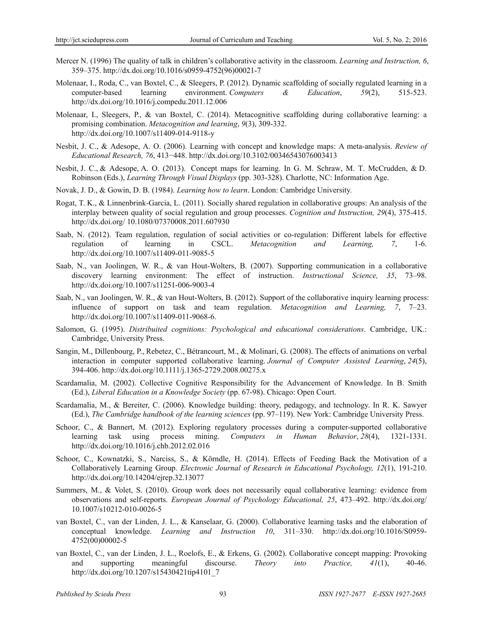- Mercer N. (1996) The quality of talk in children's collaborative activity in the classroom. *Learning and Instruction, 6*, 359–375. http://dx.doi.org/10.1016/s0959-4752(96)00021-7
- Molenaar, I., Roda, C., van Boxtel, C., & Sleegers, P. (2012). Dynamic scaffolding of socially regulated learning in a computer-based learning environment. *Computers & Education*, *59*(2), 515-523. http://dx.doi.org/10.1016/j.compedu.2011.12.006
- Molenaar, I., Sleegers, P., & van Boxtel, C. (2014). Metacognitive scaffolding during collaborative learning: a promising combination. *Metacognition and learning*, *9*(3), 309-332. http://dx.doi.org/10.1007/s11409-014-9118-y
- Nesbit, J. C., & Adesope, A. O. (2006). Learning with concept and knowledge maps: A meta-analysis. *Review of Educational Research, 76*, 413−448. http://dx.doi.org/10.3102/00346543076003413
- Nesbit, J. C., & Adesope, A. O. (2013). Concept maps for learning. In G. M. Schraw, M. T. McCrudden, & D. Robinson (Eds.), *Learning Through Visual Displays* (pp. 303-328). Charlotte, NC: Information Age.
- Novak, J. D., & Gowin, D. B. (1984). *Learning how to learn*. London: Cambridge University.
- Rogat, T. K., & Linnenbrink-Garcia, L. (2011). Socially shared regulation in collaborative groups: An analysis of the interplay between quality of social regulation and group processes. *Cognition and Instruction, 29*(4), 375-415. http://dx.doi.org/ 10.1080/07370008.2011.607930
- Saab, N. (2012). Team regulation, regulation of social activities or co-regulation: Different labels for effective regulation of learning in CSCL. *Metacognition and Learning, 7*, 1-6. http://dx.doi.org/10.1007/s11409-011-9085-5
- Saab, N., van Joolingen, W. R., & van Hout-Wolters, B. (2007). Supporting communication in a collaborative discovery learning environment: The effect of instruction. *Instructional Science, 35*, 73–98. http://dx.doi.org/10.1007/s11251-006-9003-4
- Saab, N., van Joolingen, W. R., & van Hout-Wolters, B. (2012). Support of the collaborative inquiry learning process: influence of support on task and team regulation. *Metacognition and Learning, 7*, 7–23. http://dx.doi.org/10.1007/s11409-011-9068-6.
- Salomon, G. (1995). *Distribuited cognitions: Psychological and educational considerations*. Cambridge, UK.: Cambridge, University Press.
- Sangin, M., Dillenbourg, P., Rebetez, C., Bétrancourt, M., & Molinari, G. (2008). The effects of animations on verbal interaction in computer supported collaborative learning. *Journal of Computer Assisted Learning*, *24*(5), 394-406. http://dx.doi.org/10.1111/j.1365-2729.2008.00275.x
- Scardamalia, M. (2002). Collective Cognitive Responsibility for the Advancement of Knowledge. In B. Smith (Ed.), *Liberal Education in a Knowledge Society* (pp. 67-98). Chicago: Open Court.
- Scardamalia, M., & Bereiter, C. (2006). Knowledge building: theory, pedagogy, and technology. In R. K. Sawyer (Ed.), *The Cambridge handbook of the learning sciences* (pp. 97–119). New York: Cambridge University Press.
- Schoor, C., & Bannert, M. (2012). Exploring regulatory processes during a computer-supported collaborative learning task using process mining. *Computers in Human Behavior*, *28*(4), 1321-1331. http://dx.doi.org/10.1016/j.chb.2012.02.016
- Schoor, C., Kownatzki, S., Narciss, S., & Körndle, H. (2014). Effects of Feeding Back the Motivation of a Collaboratively Learning Group. *Electronic Journal of Research in Educational Psychology, 12*(1), 191-210. http://dx.doi.org/10.14204/ejrep.32.13077
- Summers, M., & Volet, S. (2010). Group work does not necessarily equal collaborative learning: evidence from observations and self-reports. *European Journal of Psychology Educational, 25*, 473–492. http://dx.doi.org/ 10.1007/s10212-010-0026-5
- van Boxtel, C., van der Linden, J. L., & Kanselaar, G. (2000). Collaborative learning tasks and the elaboration of conceptual knowledge. *Learning and Instruction 10*, 311–330. http://dx.doi.org/10.1016/S0959- 4752(00)00002-5
- van Boxtel, C., van der Linden, J. L., Roelofs, E., & Erkens, G. (2002). Collaborative concept mapping: Provoking and supporting meaningful discourse. *Theory into Practice, 41*(1), 40-46. http://dx.doi.org/10.1207/s15430421tip4101\_7